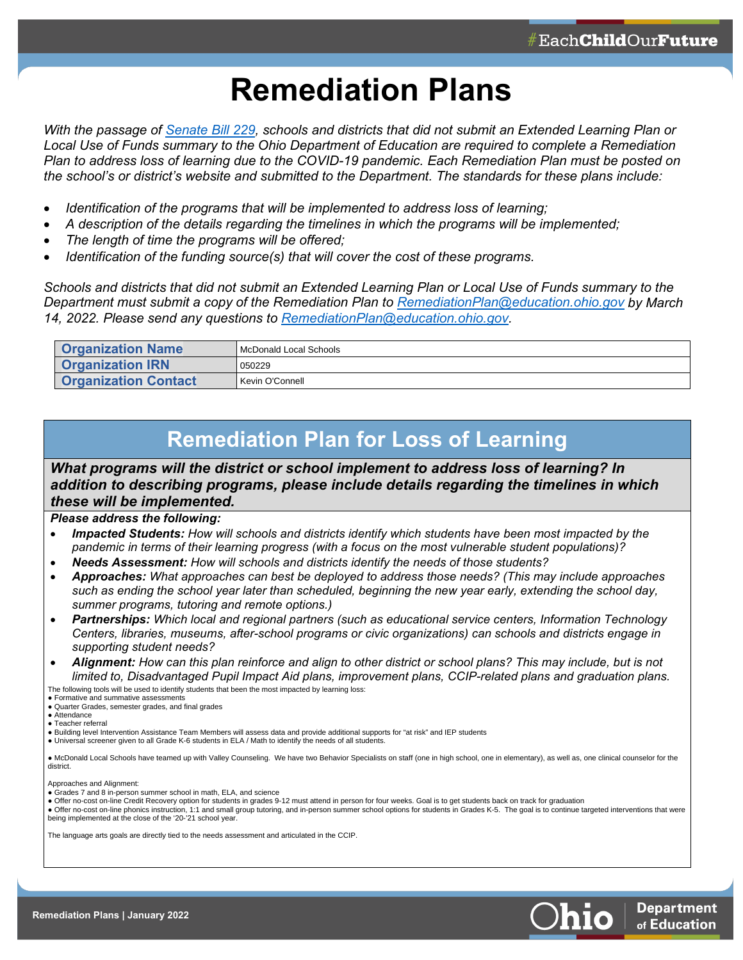## **Remediation Plans**

*With the passage of [Senate Bill 229,](https://search-prod.lis.state.oh.us/solarapi/v1/general_assembly_134/bills/sb229/EN/05/sb229_05_EN?format=pdf) schools and districts that did not submit an Extended Learning Plan or Local Use of Funds summary to the Ohio Department of Education are required to complete a Remediation Plan to address loss of learning due to the COVID-19 pandemic. Each Remediation Plan must be posted on the school's or district's website and submitted to the Department. The standards for these plans include:*

- *Identification of the programs that will be implemented to address loss of learning;*
- *A description of the details regarding the timelines in which the programs will be implemented;*
- *The length of time the programs will be offered;*
- *Identification of the funding source(s) that will cover the cost of these programs.*

*Schools and districts that did not submit an Extended Learning Plan or Local Use of Funds summary to the Department must submit a copy of the Remediation Plan to [RemediationPlan@education.ohio.gov](mailto:RemediationPlan@education.ohio.gov) by March 14, 2022. Please send any questions to [RemediationPlan@education.ohio.gov.](mailto:RemediationPlan@education.ohio.gov)* 

| <b>Organization Name</b>    | I McDonald Local Schools |
|-----------------------------|--------------------------|
| <b>Organization IRN</b>     | 050229                   |
| <b>Organization Contact</b> | Kevin O'Connell          |

## **Remediation Plan for Loss of Learning**

*What programs will the district or school implement to address loss of learning? In addition to describing programs, please include details regarding the timelines in which these will be implemented.*

## *Please address the following:*

- *Impacted Students: How will schools and districts identify which students have been most impacted by the pandemic in terms of their learning progress (with a focus on the most vulnerable student populations)?*
- *Needs Assessment: How will schools and districts identify the needs of those students?*
- *Approaches: What approaches can best be deployed to address those needs? (This may include approaches such as ending the school year later than scheduled, beginning the new year early, extending the school day, summer programs, tutoring and remote options.)*
- *Partnerships: Which local and regional partners (such as educational service centers, Information Technology Centers, libraries, museums, after-school programs or civic organizations) can schools and districts engage in supporting student needs?*
- *Alignment: How can this plan reinforce and align to other district or school plans? This may include, but is not limited to, Disadvantaged Pupil Impact Aid plans, improvement plans, CCIP-related plans and graduation plans.* The following tools will be used to identify students that been the most impacted by learning loss:

• Formative and summative assessments

● Quarter Grades, semester grades, and final grades

- Attendance
- Teacher referral
- Building level Intervention Assistance Team Members will assess data and provide additional supports for "at risk" and IEP students
- Universal screener given to all Grade K-6 students in ELA / Math to identify the needs of all students.

● McDonald Local Schools have teamed up with Valley Counseling. We have two Behavior Specialists on staff (one in high school, one in elementary), as well as, one clinical counselor for the district.

Approaches and Alignment:

- Grades 7 and 8 in-person summer school in math, ELA, and science
- Offer no-cost on-line Credit Recovery option for students in grades 9-12 must attend in person for four weeks. Goal is to get students back on track for graduation
- Offer no-cost on-line phonics instruction, 1:1 and small group tutoring, and in-person summer school options for students in Grades K-5. The goal is to continue targeted interventions that were being implemented at the close of the '20-'21 school year.

The language arts goals are directly tied to the needs assessment and articulated in the CCIP.